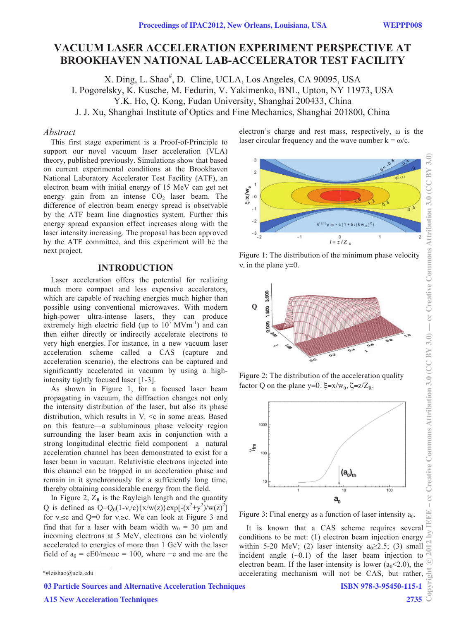# **VACUUM LASER ACCELERATION EXPERIMENT PERSPECTIVE AT BROOKHAVEN NATIONAL LAB-ACCELERATOR TEST FACILITY**

X. Ding, L. Shao<sup>#</sup>, D. Cline, UCLA, Los Angeles, CA 90095, USA I. Pogorelsky, K. Kusche, M. Fedurin, V. Yakimenko, BNL, Upton, NY 11973, USA Y.K. Ho, Q. Kong, Fudan University, Shanghai 200433, China J. J. Xu, Shanghai Institute of Optics and Fine Mechanics, Shanghai 201800, China

### *Abstract*

This first stage experiment is a Proof-of-Principle to support our novel vacuum laser acceleration (VLA) theory, published previously. Simulations show that based on current experimental conditions at the Brookhaven National Laboratory Accelerator Test Facility (ATF), an electron beam with initial energy of 15 MeV can get net energy gain from an intense  $CO<sub>2</sub>$  laser beam. The difference of electron beam energy spread is observable by the ATF beam line diagnostics system. Further this energy spread expansion effect increases along with the laser intensity increasing. The proposal has been approved by the ATF committee, and this experiment will be the next project.

### **INTRODUCTION**

Laser acceleration offers the potential for realizing much more compact and less expensive accelerators, which are capable of reaching energies much higher than possible using conventional microwaves. With modern high-power ultra-intense lasers, they can produce extremely high electric field (up to  $10^7$  MVm<sup>-1</sup>) and can then either directly or indirectly accelerate electrons to very high energies. For instance, in a new vacuum laser acceleration scheme called a CAS (capture and acceleration scenario), the electrons can be captured and significantly accelerated in vacuum by using a highintensity tightly focused laser [1-3].

As shown in Figure 1, for a focused laser beam propagating in vacuum, the diffraction changes not only the intensity distribution of the laser, but also its phase distribution, which results in  $V_{\text{A}} \leq c$  in some areas. Based on this feature—a subluminous phase velocity region surrounding the laser beam axis in conjunction with a strong longitudinal electric field component—a natural acceleration channel has been demonstrated to exist for a laser beam in vacuum. Relativistic electrons injected into this channel can be trapped in an acceleration phase and remain in it synchronously for a sufficiently long time, thereby obtaining considerable energy from the field.

In Figure 2,  $Z_R$  is the Rayleigh length and the quantity Q is defined as  $Q = Q_0(1 - v/c) \{x/w(z)\} \exp[-(x^2 + y^2)/w(z)^2]$ for  $v \leq c$  and Q=0 for  $v \geq c$ . We can look at Figure 3 and find that for a laser with beam width  $w_0 = 30 \mu m$  and incoming electrons at 5 MeV, electrons can be violently accelerated to energies of more than 1 GeV with the laser field of  $a_0 = eE0/me\omega c = 100$ , where  $-e$  and me are the electron's charge and rest mass, respectively,  $\omega$  is the laser circular frequency and the wave number  $k = \omega/c$ .



Figure 1: The distribution of the minimum phase velocity  $v_{\rm s}$  in the plane y=0.



Figure 2: The distribution of the acceleration quality factor Q on the plane y=0.  $\xi = x/w_0$ ,  $\xi = z/Z_R$ .



Figure 3: Final energy as a function of laser intensity  $a_0$ .

**DV IEEEE** It is known that a CAS scheme requires several conditions to be met: (1) electron beam injection energy within 5-20 MeV; (2) laser intensity  $a_0 \geq 2.5$ ; (3) small incident angle  $(-0.1)$  of the laser beam injection to electron beam. If the laser intensity is lower ( $a_0$ <2.0), the accelerating mechanism will not be CAS, but rather,

03 Particle Sources and Alternative Acceleration Techniques

A15 New Acceleration Techniques

- cc Creative Commons Attribution 3.0 (CC BY 3.0)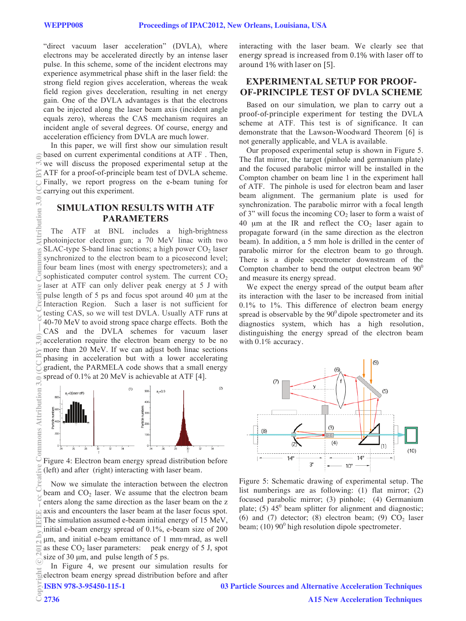"direct vacuum laser acceleration" (DVLA), where electrons may be accelerated directly by an intense laser pulse. In this scheme, some of the incident electrons may experience asymmetrical phase shift in the laser field: the strong field region gives acceleration, whereas the weak field region gives deceleration, resulting in net energy gain. One of the DVLA advantages is that the electrons can be injected along the laser beam axis (incident angle equals zero), whereas the CAS mechanism requires an incident angle of several degrees. Of course, energy and acceleration efficiency from DVLA are much lower.

In this paper, we will first show our simulation result based on current experimental conditions at ATF . Then, we will discuss the proposed experimental setup at the ATF for a proof-of-principle beam test of DVLA scheme. Finally, we report progress on the e-beam tuning for carrying out this experiment.

## **SIMULATION RESULTS WITH ATF PARAMETERS**

The ATF at BNL includes a high-brightness photoinjector electron gun; a 70 MeV linac with two SLAC-type S-band linac sections; a high power  $CO<sub>2</sub>$  laser synchronized to the electron beam to a picosecond level; four beam lines (most with energy spectrometers); and a sophisticated computer control system. The current  $CO<sub>2</sub>$ laser at ATF can only deliver peak energy at 5 J with pulse length of 5 ps and focus spot around 40 μm at the Interaction Region. Such a laser is not sufficient for testing CAS, so we will test DVLA. Usually ATF runs at 40-70 MeV to avoid strong space charge effects. Both the CAS and the DVLA schemes for vacuum laser acceleration require the electron beam energy to be no more than 20 MeV. If we can adjust both linac sections phasing in acceleration but with a lower accelerating gradient, the PARMELA code shows that a small energy spread of 0.1% at 20 MeV is achievable at ATF [4].



Figure 4: Electron beam energy spread distribution before (left) and after (right) interacting with laser beam.

Now we simulate the interaction between the electron beam and  $CO<sub>2</sub>$  laser. We assume that the electron beam enters along the same direction as the laser beam on the z axis and encounters the laser beam at the laser focus spot. The simulation assumed e-beam initial energy of 15 MeV, initial e-beam energy spread of 0.1%, e-beam size of 200 μm, and initial e-beam emittance of 1 mm·mrad, as well as these  $CO<sub>2</sub>$  laser parameters: peak energy of 5 J, spot size of 30 μm, and pulse length of 5 ps.

In Figure 4, we present our simulation results for Electron beam energy spread distribution before and after<br>  $\frac{1}{2}$  ISBN 978-3-95450-115-1 03<br>  $\frac{2736}{2736}$ 

ISBN 978-3-95450-115-1

interacting with the laser beam. We clearly see that energy spread is increased from 0.1% with laser off to around 1% with laser on [5].

# **EXPERIMENTAL SETUP FOR PROOF-OF-PRINCIPLE TEST OF DVLA SCHEME**

Based on our simulation, we plan to carry out a proof-of-principle experiment for testing the DVLA scheme at ATF. This test is of significance. It can demonstrate that the Lawson-Woodward Theorem [6] is not generally applicable, and VLA is available.

Our proposed experimental setup is shown in Figure 5. The flat mirror, the target (pinhole and germanium plate) and the focused parabolic mirror will be installed in the Compton chamber on beam line 1 in the experiment hall of ATF. The pinhole is used for electron beam and laser beam alignment. The germanium plate is used for synchronization. The parabolic mirror with a focal length of 3" will focus the incoming  $CO<sub>2</sub>$  laser to form a waist of 40  $\mu$ m at the IR and reflect the CO<sub>2</sub> laser again to propagate forward (in the same direction as the electron beam). In addition, a 5 mm hole is drilled in the center of parabolic mirror for the electron beam to go through. There is a dipole spectrometer downstream of the Compton chamber to bend the output electron beam  $90^{\circ}$ and measure its energy spread.

We expect the energy spread of the output beam after its interaction with the laser to be increased from initial 0.1% to 1%. This difference of electron beam energy spread is observable by the  $90^{\circ}$  dipole spectrometer and its diagnostics system, which has a high resolution, distinguishing the energy spread of the electron beam with 0.1% accuracy.



Figure 5: Schematic drawing of experimental setup. The list numberings are as following: (1) flat mirror; (2) focused parabolic mirror; (3) pinhole; (4) Germanium plate; (5)  $45^{\circ}$  beam splitter for alignment and diagnostic; (6) and (7) detector; (8) electron beam; (9)  $CO<sub>2</sub>$  laser beam;  $(10)$  90 $^0$  high resolution dipole spectrometer.

ribution.

03 Particle Sources and Alternative Acceleration Techniques A15 New Acceleration Techniques